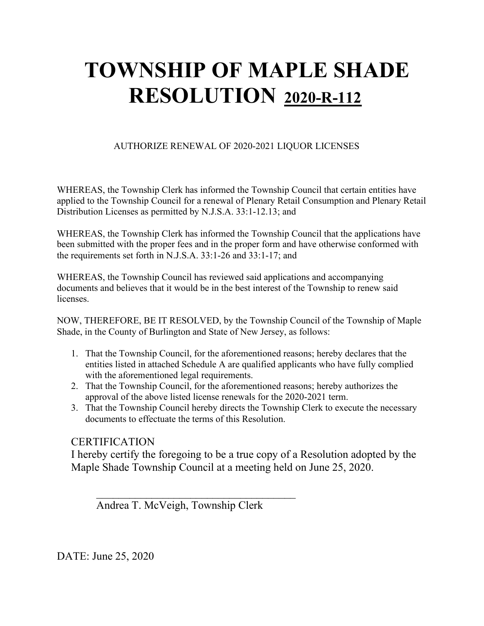#### AUTHORIZE RENEWAL OF 2020-2021 LIQUOR LICENSES

WHEREAS, the Township Clerk has informed the Township Council that certain entities have applied to the Township Council for a renewal of Plenary Retail Consumption and Plenary Retail Distribution Licenses as permitted by N.J.S.A. 33:1-12.13; and

WHEREAS, the Township Clerk has informed the Township Council that the applications have been submitted with the proper fees and in the proper form and have otherwise conformed with the requirements set forth in N.J.S.A. 33:1-26 and 33:1-17; and

WHEREAS, the Township Council has reviewed said applications and accompanying documents and believes that it would be in the best interest of the Township to renew said licenses.

NOW, THEREFORE, BE IT RESOLVED, by the Township Council of the Township of Maple Shade, in the County of Burlington and State of New Jersey, as follows:

- 1. That the Township Council, for the aforementioned reasons; hereby declares that the entities listed in attached Schedule A are qualified applicants who have fully complied with the aforementioned legal requirements.
- 2. That the Township Council, for the aforementioned reasons; hereby authorizes the approval of the above listed license renewals for the 2020-2021 term.
- 3. That the Township Council hereby directs the Township Clerk to execute the necessary documents to effectuate the terms of this Resolution.

### **CERTIFICATION**

I hereby certify the foregoing to be a true copy of a Resolution adopted by the Maple Shade Township Council at a meeting held on June 25, 2020.

Andrea T. McVeigh, Township Clerk

 $\overline{\phantom{a}}$ 

DATE: June 25, 2020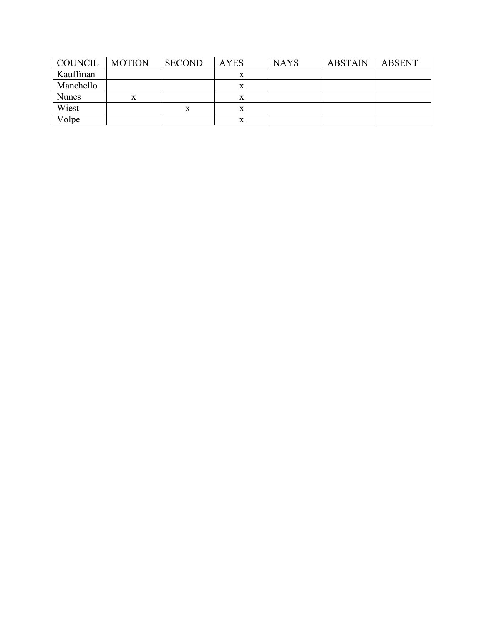| <b>COUNCIL</b> | <b>MOTION</b> | <b>SECOND</b> | <b>AYES</b> | <b>NAYS</b> | <b>ABSTAIN</b> | <b>ABSENT</b> |
|----------------|---------------|---------------|-------------|-------------|----------------|---------------|
| Kauffman       |               |               | л           |             |                |               |
| Manchello      |               |               | х           |             |                |               |
| <b>Nunes</b>   | x             |               |             |             |                |               |
| Wiest          |               | x             |             |             |                |               |
| Volpe          |               |               | $\Lambda$   |             |                |               |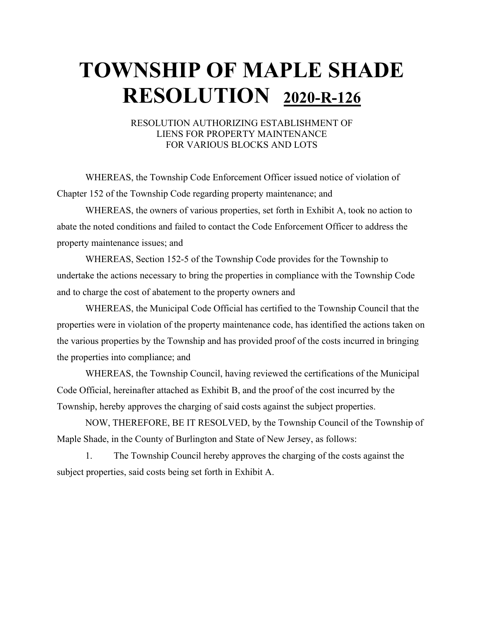#### RESOLUTION AUTHORIZING ESTABLISHMENT OF LIENS FOR PROPERTY MAINTENANCE FOR VARIOUS BLOCKS AND LOTS

WHEREAS, the Township Code Enforcement Officer issued notice of violation of Chapter 152 of the Township Code regarding property maintenance; and

WHEREAS, the owners of various properties, set forth in Exhibit A, took no action to abate the noted conditions and failed to contact the Code Enforcement Officer to address the property maintenance issues; and

WHEREAS, Section 152-5 of the Township Code provides for the Township to undertake the actions necessary to bring the properties in compliance with the Township Code and to charge the cost of abatement to the property owners and

WHEREAS, the Municipal Code Official has certified to the Township Council that the properties were in violation of the property maintenance code, has identified the actions taken on the various properties by the Township and has provided proof of the costs incurred in bringing the properties into compliance; and

WHEREAS, the Township Council, having reviewed the certifications of the Municipal Code Official, hereinafter attached as Exhibit B, and the proof of the cost incurred by the Township, hereby approves the charging of said costs against the subject properties.

NOW, THEREFORE, BE IT RESOLVED, by the Township Council of the Township of Maple Shade, in the County of Burlington and State of New Jersey, as follows:

1. The Township Council hereby approves the charging of the costs against the subject properties, said costs being set forth in Exhibit A.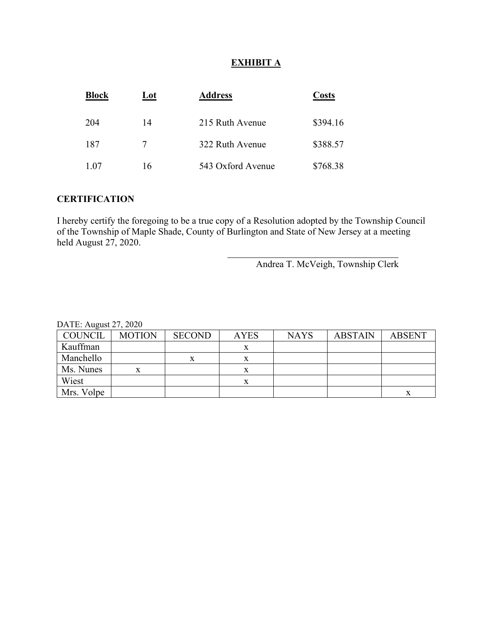#### **EXHIBIT A**

| <b>Block</b> | Lot | <b>Address</b>    | Costs    |
|--------------|-----|-------------------|----------|
| 204          | 14  | 215 Ruth Avenue   | \$394.16 |
| 187          |     | 322 Ruth Avenue   | \$388.57 |
| 1.07         | 16  | 543 Oxford Avenue | \$768.38 |

#### **CERTIFICATION**

I hereby certify the foregoing to be a true copy of a Resolution adopted by the Township Council of the Township of Maple Shade, County of Burlington and State of New Jersey at a meeting held August 27, 2020.

Andrea T. McVeigh, Township Clerk

| <b>COUNCIL</b> | <b>MOTION</b> | <b>SECOND</b> | <b>AYES</b> | <b>NAYS</b> | <b>ABSTAIN</b> | <b>ABSENT</b> |
|----------------|---------------|---------------|-------------|-------------|----------------|---------------|
| Kauffman       |               |               |             |             |                |               |
| Manchello      |               | X             |             |             |                |               |
| Ms. Nunes      | x             |               | $\Lambda$   |             |                |               |
| Wiest          |               |               | x           |             |                |               |
| Mrs. Volpe     |               |               |             |             |                | x             |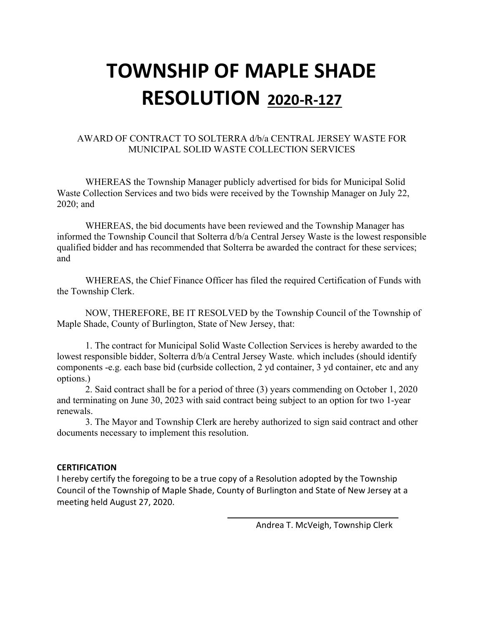#### AWARD OF CONTRACT TO SOLTERRA d/b/a CENTRAL JERSEY WASTE FOR MUNICIPAL SOLID WASTE COLLECTION SERVICES

WHEREAS the Township Manager publicly advertised for bids for Municipal Solid Waste Collection Services and two bids were received by the Township Manager on July 22, 2020; and

WHEREAS, the bid documents have been reviewed and the Township Manager has informed the Township Council that Solterra d/b/a Central Jersey Waste is the lowest responsible qualified bidder and has recommended that Solterra be awarded the contract for these services; and

WHEREAS, the Chief Finance Officer has filed the required Certification of Funds with the Township Clerk.

NOW, THEREFORE, BE IT RESOLVED by the Township Council of the Township of Maple Shade, County of Burlington, State of New Jersey, that:

1. The contract for Municipal Solid Waste Collection Services is hereby awarded to the lowest responsible bidder, Solterra d/b/a Central Jersey Waste. which includes (should identify components -e.g. each base bid (curbside collection, 2 yd container, 3 yd container, etc and any options.)

2. Said contract shall be for a period of three (3) years commending on October 1, 2020 and terminating on June 30, 2023 with said contract being subject to an option for two 1-year renewals.

3. The Mayor and Township Clerk are hereby authorized to sign said contract and other documents necessary to implement this resolution.

#### **CERTIFICATION**

I hereby certify the foregoing to be a true copy of a Resolution adopted by the Township Council of the Township of Maple Shade, County of Burlington and State of New Jersey at a meeting held August 27, 2020.

Andrea T. McVeigh, Township Clerk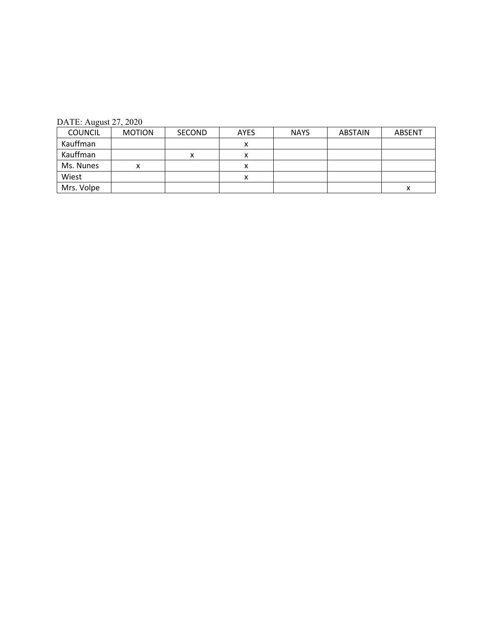| <b>COUNCIL</b> | <b>MOTION</b> | <b>SECOND</b> | <b>AYES</b> | <b>NAYS</b> | <b>ABSTAIN</b> | ABSENT |
|----------------|---------------|---------------|-------------|-------------|----------------|--------|
| Kauffman       |               |               | ́           |             |                |        |
| Kauffman       |               | v             | ́           |             |                |        |
| Ms. Nunes      | x             |               | ́           |             |                |        |
| Wiest          |               |               | ⋏           |             |                |        |
| Mrs. Volpe     |               |               |             |             |                | х      |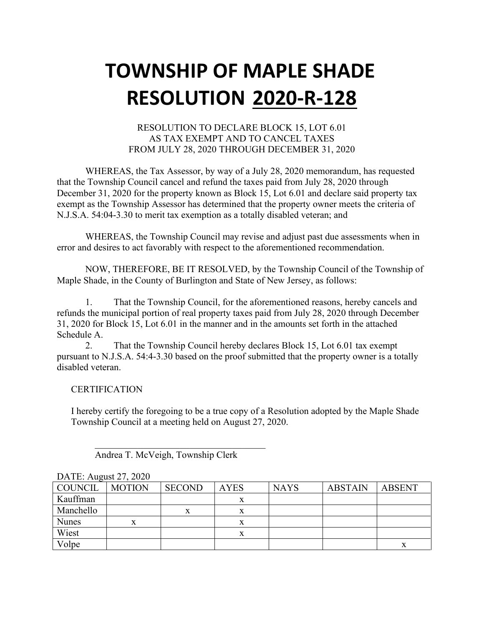#### RESOLUTION TO DECLARE BLOCK 15, LOT 6.01 AS TAX EXEMPT AND TO CANCEL TAXES FROM JULY 28, 2020 THROUGH DECEMBER 31, 2020

WHEREAS, the Tax Assessor, by way of a July 28, 2020 memorandum, has requested that the Township Council cancel and refund the taxes paid from July 28, 2020 through December 31, 2020 for the property known as Block 15, Lot 6.01 and declare said property tax exempt as the Township Assessor has determined that the property owner meets the criteria of N.J.S.A. 54:04-3.30 to merit tax exemption as a totally disabled veteran; and

WHEREAS, the Township Council may revise and adjust past due assessments when in error and desires to act favorably with respect to the aforementioned recommendation.

NOW, THEREFORE, BE IT RESOLVED, by the Township Council of the Township of Maple Shade, in the County of Burlington and State of New Jersey, as follows:

1. That the Township Council, for the aforementioned reasons, hereby cancels and refunds the municipal portion of real property taxes paid from July 28, 2020 through December 31, 2020 for Block 15, Lot 6.01 in the manner and in the amounts set forth in the attached Schedule A.

2. That the Township Council hereby declares Block 15, Lot 6.01 tax exempt pursuant to N.J.S.A. 54:4-3.30 based on the proof submitted that the property owner is a totally disabled veteran.

#### **CERTIFICATION**

I hereby certify the foregoing to be a true copy of a Resolution adopted by the Maple Shade Township Council at a meeting held on August 27, 2020.

| COUNCIL      | <b>MOTION</b> | <b>SECOND</b> | <b>AYES</b> | <b>NAYS</b> | <b>ABSTAIN</b> | <b>ABSENT</b> |
|--------------|---------------|---------------|-------------|-------------|----------------|---------------|
| Kauffman     |               |               | x           |             |                |               |
| Manchello    |               |               | x           |             |                |               |
| <b>Nunes</b> | x             |               | x           |             |                |               |
| Wiest        |               |               | x           |             |                |               |
| Volpe        |               |               |             |             |                | x             |

### DATE: August 27, 2020

 $\overline{\mathcal{L}}$ Andrea T. McVeigh, Township Clerk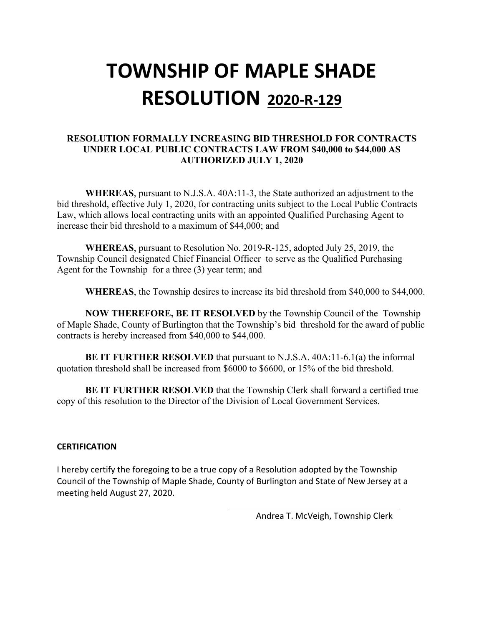#### **RESOLUTION FORMALLY INCREASING BID THRESHOLD FOR CONTRACTS UNDER LOCAL PUBLIC CONTRACTS LAW FROM \$40,000 to \$44,000 AS AUTHORIZED JULY 1, 2020**

**WHEREAS**, pursuant to N.J.S.A. 40A:11-3, the State authorized an adjustment to the bid threshold, effective July 1, 2020, for contracting units subject to the Local Public Contracts Law, which allows local contracting units with an appointed Qualified Purchasing Agent to increase their bid threshold to a maximum of \$44,000; and

**WHEREAS**, pursuant to Resolution No. 2019-R-125, adopted July 25, 2019, the Township Council designated Chief Financial Officer to serve as the Qualified Purchasing Agent for the Township for a three (3) year term; and

**WHEREAS**, the Township desires to increase its bid threshold from \$40,000 to \$44,000.

**NOW THEREFORE, BE IT RESOLVED** by the Township Council of the Township of Maple Shade, County of Burlington that the Township's bid threshold for the award of public contracts is hereby increased from \$40,000 to \$44,000.

**BE IT FURTHER RESOLVED** that pursuant to N.J.S.A. 40A:11-6.1(a) the informal quotation threshold shall be increased from \$6000 to \$6600, or 15% of the bid threshold.

**BE IT FURTHER RESOLVED** that the Township Clerk shall forward a certified true copy of this resolution to the Director of the Division of Local Government Services.

#### **CERTIFICATION**

I hereby certify the foregoing to be a true copy of a Resolution adopted by the Township Council of the Township of Maple Shade, County of Burlington and State of New Jersey at a meeting held August 27, 2020.

Andrea T. McVeigh, Township Clerk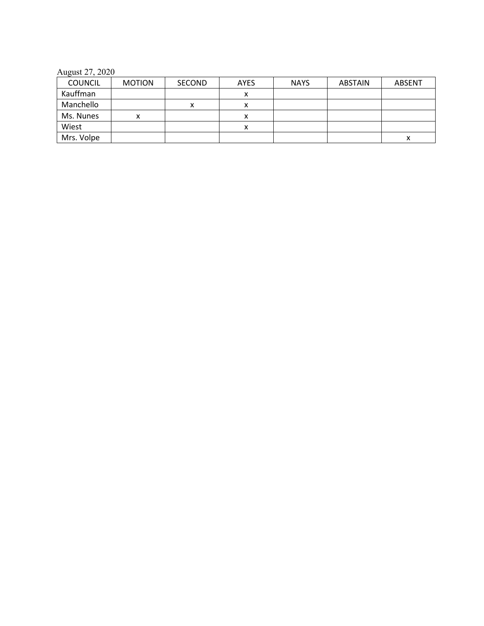August 27, 2020

| <b>COUNCIL</b> | <b>MOTION</b> | <b>SECOND</b> | <b>AYES</b> | <b>NAYS</b> | <b>ABSTAIN</b> | <b>ABSENT</b> |
|----------------|---------------|---------------|-------------|-------------|----------------|---------------|
| Kauffman       |               |               | ́           |             |                |               |
| Manchello      |               | v             | Λ           |             |                |               |
| Ms. Nunes      |               |               | ᄉ           |             |                |               |
| Wiest          |               |               | л           |             |                |               |
| Mrs. Volpe     |               |               |             |             |                |               |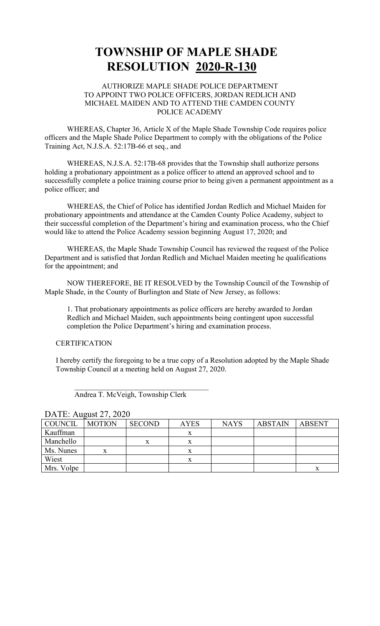#### AUTHORIZE MAPLE SHADE POLICE DEPARTMENT TO APPOINT TWO POLICE OFFICERS, JORDAN REDLICH AND MICHAEL MAIDEN AND TO ATTEND THE CAMDEN COUNTY POLICE ACADEMY

WHEREAS, Chapter 36, Article X of the Maple Shade Township Code requires police officers and the Maple Shade Police Department to comply with the obligations of the Police Training Act, N.J.S.A. 52:17B-66 et seq., and

WHEREAS, N.J.S.A. 52:17B-68 provides that the Township shall authorize persons holding a probationary appointment as a police officer to attend an approved school and to successfully complete a police training course prior to being given a permanent appointment as a police officer; and

WHEREAS, the Chief of Police has identified Jordan Redlich and Michael Maiden for probationary appointments and attendance at the Camden County Police Academy, subject to their successful completion of the Department's hiring and examination process, who the Chief would like to attend the Police Academy session beginning August 17, 2020; and

WHEREAS, the Maple Shade Township Council has reviewed the request of the Police Department and is satisfied that Jordan Redlich and Michael Maiden meeting he qualifications for the appointment; and

NOW THEREFORE, BE IT RESOLVED by the Township Council of the Township of Maple Shade, in the County of Burlington and State of New Jersey, as follows:

1. That probationary appointments as police officers are hereby awarded to Jordan Redlich and Michael Maiden, such appointments being contingent upon successful completion the Police Department's hiring and examination process.

#### **CERTIFICATION**

I hereby certify the foregoing to be a true copy of a Resolution adopted by the Maple Shade Township Council at a meeting held on August 27, 2020.

| <b>COUNCIL</b> | <b>MOTION</b> | <b>SECOND</b> | <b>AYES</b> | <b>NAYS</b> | <b>ABSTAIN</b> | <b>ABSENT</b> |
|----------------|---------------|---------------|-------------|-------------|----------------|---------------|
| Kauffman       |               |               | л           |             |                |               |
| Manchello      |               | x             | л           |             |                |               |
| Ms. Nunes      | X             |               | X           |             |                |               |
| Wiest          |               |               | x           |             |                |               |
| Mrs. Volpe     |               |               |             |             |                | х             |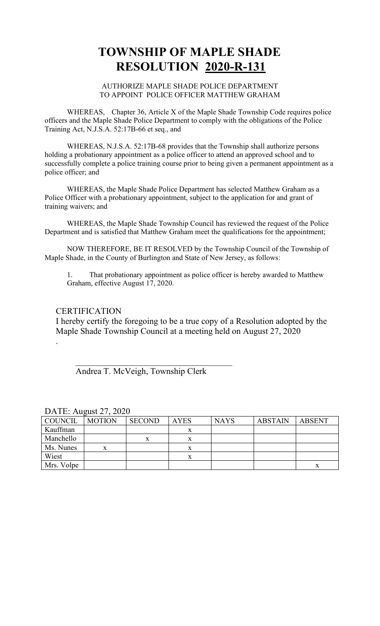#### AUTHORIZE MAPLE SHADE POLICE DEPARTMENT TO APPOINT POLICE OFFICER MATTHEW GRAHAM

WHEREAS, Chapter 36, Article X of the Maple Shade Township Code requires police officers and the Maple Shade Police Department to comply with the obligations of the Police Training Act, N.J.S.A. 52:17B-66 et seq., and

WHEREAS, N.J.S.A. 52:17B-68 provides that the Township shall authorize persons holding a probationary appointment as a police officer to attend an approved school and to successfully complete a police training course prior to being given a permanent appointment as a police officer; and

WHEREAS, the Maple Shade Police Department has selected Matthew Graham as a Police Officer with a probationary appointment, subject to the application for and grant of training waivers; and

WHEREAS, the Maple Shade Township Council has reviewed the request of the Police Department and is satisfied that Matthew Graham meet the qualifications for the appointment;

NOW THEREFORE, BE IT RESOLVED by the Township Council of the Township of Maple Shade, in the County of Burlington and State of New Jersey, as follows:

1. That probationary appointment as police officer is hereby awarded to Matthew Graham, effective August 17, 2020.

#### **CERTIFICATION**

.

I hereby certify the foregoing to be a true copy of a Resolution adopted by the Maple Shade Township Council at a meeting held on August 27, 2020

Andrea T. McVeigh, Township Clerk

 $\overline{\phantom{a}}$ 

| COUNCIL    | <b>MOTION</b> | <b>SECOND</b> | <b>AYES</b> | <b>NAYS</b> | <b>ABSTAIN</b> | <b>ABSENT</b> |  |
|------------|---------------|---------------|-------------|-------------|----------------|---------------|--|
| Kauffman   |               |               | x           |             |                |               |  |
| Manchello  |               |               |             |             |                |               |  |
| Ms. Nunes  | X.            |               |             |             |                |               |  |
| Wiest      |               |               |             |             |                |               |  |
| Mrs. Volpe |               |               |             |             |                |               |  |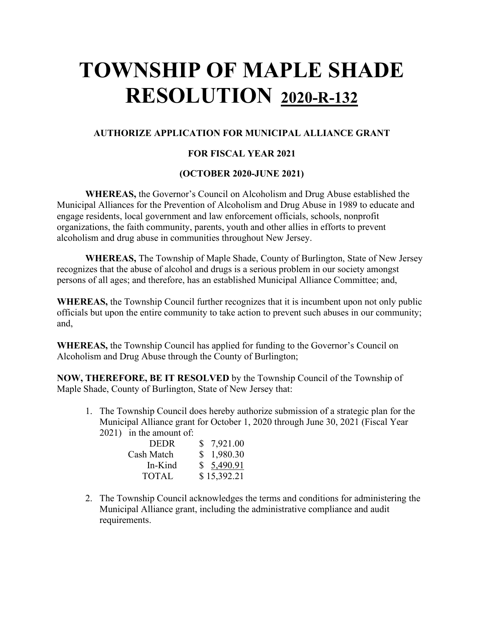#### **AUTHORIZE APPLICATION FOR MUNICIPAL ALLIANCE GRANT**

#### **FOR FISCAL YEAR 2021**

#### **(OCTOBER 2020-JUNE 2021)**

**WHEREAS,** the Governor's Council on Alcoholism and Drug Abuse established the Municipal Alliances for the Prevention of Alcoholism and Drug Abuse in 1989 to educate and engage residents, local government and law enforcement officials, schools, nonprofit organizations, the faith community, parents, youth and other allies in efforts to prevent alcoholism and drug abuse in communities throughout New Jersey.

**WHEREAS,** The Township of Maple Shade, County of Burlington, State of New Jersey recognizes that the abuse of alcohol and drugs is a serious problem in our society amongst persons of all ages; and therefore, has an established Municipal Alliance Committee; and,

**WHEREAS,** the Township Council further recognizes that it is incumbent upon not only public officials but upon the entire community to take action to prevent such abuses in our community; and,

**WHEREAS,** the Township Council has applied for funding to the Governor's Council on Alcoholism and Drug Abuse through the County of Burlington;

**NOW, THEREFORE, BE IT RESOLVED** by the Township Council of the Township of Maple Shade, County of Burlington, State of New Jersey that:

1. The Township Council does hereby authorize submission of a strategic plan for the Municipal Alliance grant for October 1, 2020 through June 30, 2021 (Fiscal Year 2021) in the amount of:

| <b>DEDR</b>  | \$7,921.00  |
|--------------|-------------|
| Cash Match   | \$1,980.30  |
| In-Kind      | \$5,490.91  |
| <b>TOTAL</b> | \$15,392.21 |

2. The Township Council acknowledges the terms and conditions for administering the Municipal Alliance grant, including the administrative compliance and audit requirements.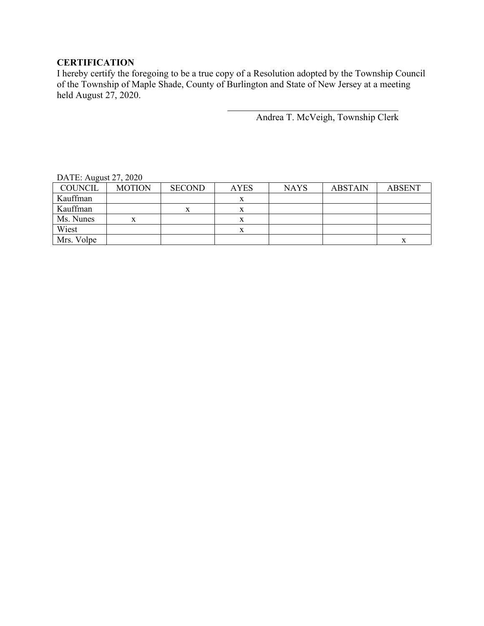#### **CERTIFICATION**

I hereby certify the foregoing to be a true copy of a Resolution adopted by the Township Council of the Township of Maple Shade, County of Burlington and State of New Jersey at a meeting held August 27, 2020.

Andrea T. McVeigh, Township Clerk

| $P1$ , $P2$ , $P3$ , $P4$ , $P5$ , $P6$ |               |               |             |             |                |               |
|-----------------------------------------|---------------|---------------|-------------|-------------|----------------|---------------|
| <b>COUNCIL</b>                          | <b>MOTION</b> | <b>SECOND</b> | <b>AYES</b> | <b>NAYS</b> | <b>ABSTAIN</b> | <b>ABSENT</b> |
| Kauffman                                |               |               |             |             |                |               |
| Kauffman                                |               | x             |             |             |                |               |
| Ms. Nunes                               | x             |               | л           |             |                |               |
| Wiest                                   |               |               |             |             |                |               |
| Mrs. Volpe                              |               |               |             |             |                | л             |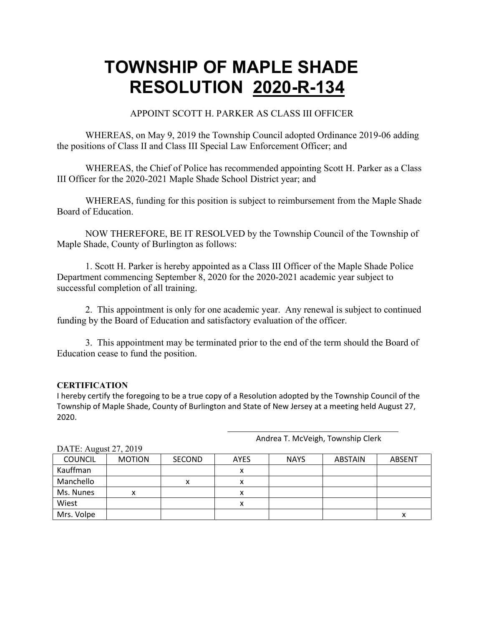APPOINT SCOTT H. PARKER AS CLASS III OFFICER

WHEREAS, on May 9, 2019 the Township Council adopted Ordinance 2019-06 adding the positions of Class II and Class III Special Law Enforcement Officer; and

WHEREAS, the Chief of Police has recommended appointing Scott H. Parker as a Class III Officer for the 2020-2021 Maple Shade School District year; and

WHEREAS, funding for this position is subject to reimbursement from the Maple Shade Board of Education.

NOW THEREFORE, BE IT RESOLVED by the Township Council of the Township of Maple Shade, County of Burlington as follows:

1. Scott H. Parker is hereby appointed as a Class III Officer of the Maple Shade Police Department commencing September 8, 2020 for the 2020-2021 academic year subject to successful completion of all training.

2. This appointment is only for one academic year. Any renewal is subject to continued funding by the Board of Education and satisfactory evaluation of the officer.

3. This appointment may be terminated prior to the end of the term should the Board of Education cease to fund the position.

#### **CERTIFICATION**

I hereby certify the foregoing to be a true copy of a Resolution adopted by the Township Council of the Township of Maple Shade, County of Burlington and State of New Jersey at a meeting held August 27, 2020.

Andrea T. McVeigh, Township Clerk

| DATE: August 27, 2019 |               |               |             |             |         |               |
|-----------------------|---------------|---------------|-------------|-------------|---------|---------------|
| <b>COUNCIL</b>        | <b>MOTION</b> | <b>SECOND</b> | <b>AYES</b> | <b>NAYS</b> | ABSTAIN | <b>ABSENT</b> |
| Kauffman              |               |               | $\lambda$   |             |         |               |
| Manchello             |               | х             |             |             |         |               |
| Ms. Nunes             | x             |               | х           |             |         |               |
| Wiest                 |               |               | ́           |             |         |               |
| Mrs. Volpe            |               |               |             |             |         | х             |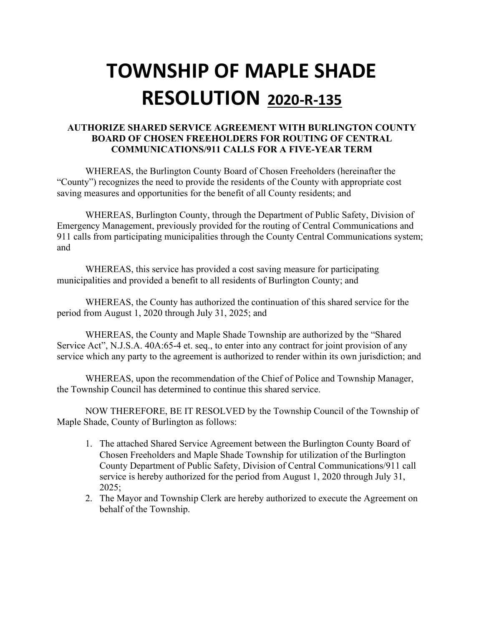#### **AUTHORIZE SHARED SERVICE AGREEMENT WITH BURLINGTON COUNTY BOARD OF CHOSEN FREEHOLDERS FOR ROUTING OF CENTRAL COMMUNICATIONS/911 CALLS FOR A FIVE-YEAR TERM**

WHEREAS, the Burlington County Board of Chosen Freeholders (hereinafter the "County") recognizes the need to provide the residents of the County with appropriate cost saving measures and opportunities for the benefit of all County residents; and

WHEREAS, Burlington County, through the Department of Public Safety, Division of Emergency Management, previously provided for the routing of Central Communications and 911 calls from participating municipalities through the County Central Communications system; and

WHEREAS, this service has provided a cost saving measure for participating municipalities and provided a benefit to all residents of Burlington County; and

WHEREAS, the County has authorized the continuation of this shared service for the period from August 1, 2020 through July 31, 2025; and

WHEREAS, the County and Maple Shade Township are authorized by the "Shared Service Act", N.J.S.A. 40A:65-4 et. seq., to enter into any contract for joint provision of any service which any party to the agreement is authorized to render within its own jurisdiction; and

WHEREAS, upon the recommendation of the Chief of Police and Township Manager, the Township Council has determined to continue this shared service.

NOW THEREFORE, BE IT RESOLVED by the Township Council of the Township of Maple Shade, County of Burlington as follows:

- 1. The attached Shared Service Agreement between the Burlington County Board of Chosen Freeholders and Maple Shade Township for utilization of the Burlington County Department of Public Safety, Division of Central Communications/911 call service is hereby authorized for the period from August 1, 2020 through July 31, 2025;
- 2. The Mayor and Township Clerk are hereby authorized to execute the Agreement on behalf of the Township.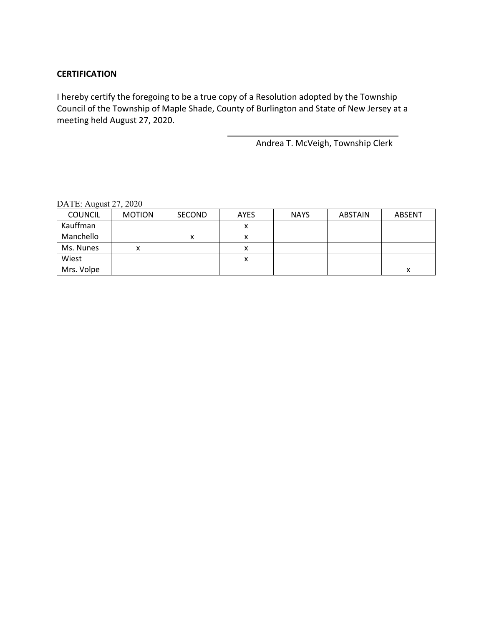#### **CERTIFICATION**

I hereby certify the foregoing to be a true copy of a Resolution adopted by the Township Council of the Township of Maple Shade, County of Burlington and State of New Jersey at a meeting held August 27, 2020.

Andrea T. McVeigh, Township Clerk

| $\overline{\phantom{0}}$ |               |               |             |             |                |               |
|--------------------------|---------------|---------------|-------------|-------------|----------------|---------------|
| <b>COUNCIL</b>           | <b>MOTION</b> | <b>SECOND</b> | <b>AYES</b> | <b>NAYS</b> | <b>ABSTAIN</b> | <b>ABSENT</b> |
| Kauffman                 |               |               | Λ           |             |                |               |
| Manchello                |               | $\mathbf{v}$  | ⋏           |             |                |               |
| Ms. Nunes                | x             |               | ́           |             |                |               |
| Wiest                    |               |               | x           |             |                |               |
| Mrs. Volpe               |               |               |             |             |                | х             |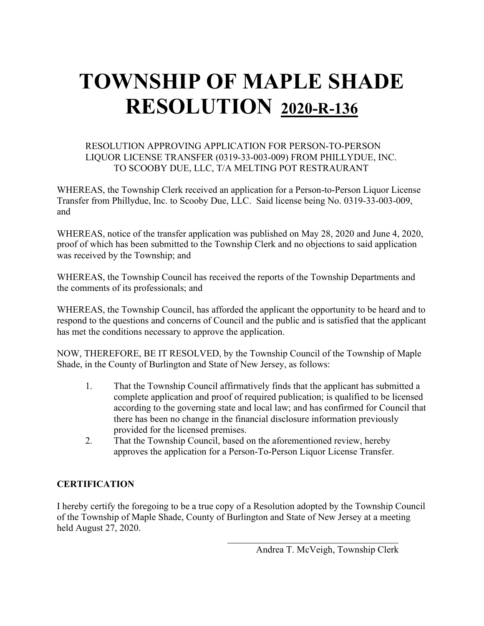#### RESOLUTION APPROVING APPLICATION FOR PERSON-TO-PERSON LIQUOR LICENSE TRANSFER (0319-33-003-009) FROM PHILLYDUE, INC. TO SCOOBY DUE, LLC, T/A MELTING POT RESTRAURANT

WHEREAS, the Township Clerk received an application for a Person-to-Person Liquor License Transfer from Phillydue, Inc. to Scooby Due, LLC. Said license being No. 0319-33-003-009, and

WHEREAS, notice of the transfer application was published on May 28, 2020 and June 4, 2020, proof of which has been submitted to the Township Clerk and no objections to said application was received by the Township; and

WHEREAS, the Township Council has received the reports of the Township Departments and the comments of its professionals; and

WHEREAS, the Township Council, has afforded the applicant the opportunity to be heard and to respond to the questions and concerns of Council and the public and is satisfied that the applicant has met the conditions necessary to approve the application.

NOW, THEREFORE, BE IT RESOLVED, by the Township Council of the Township of Maple Shade, in the County of Burlington and State of New Jersey, as follows:

- 1. That the Township Council affirmatively finds that the applicant has submitted a complete application and proof of required publication; is qualified to be licensed according to the governing state and local law; and has confirmed for Council that there has been no change in the financial disclosure information previously provided for the licensed premises.
- 2. That the Township Council, based on the aforementioned review, hereby approves the application for a Person-To-Person Liquor License Transfer.

#### **CERTIFICATION**

I hereby certify the foregoing to be a true copy of a Resolution adopted by the Township Council of the Township of Maple Shade, County of Burlington and State of New Jersey at a meeting held August 27, 2020.

Andrea T. McVeigh, Township Clerk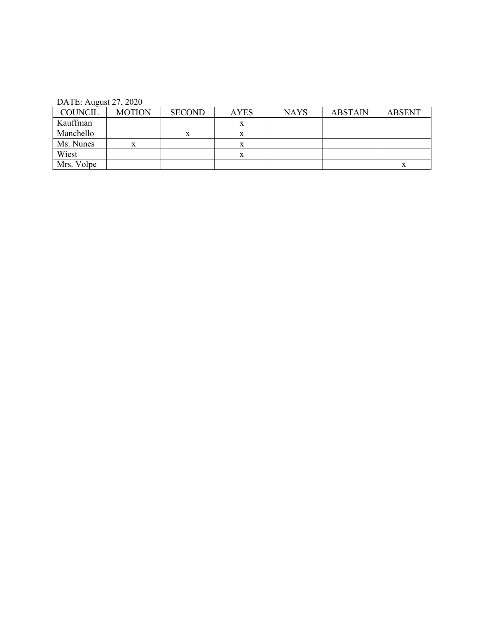| <b>COUNCIL</b> | <b>MOTION</b> | <b>SECOND</b> | <b>AYES</b> | <b>NAYS</b> | <b>ABSTAIN</b> | <b>ABSENT</b> |
|----------------|---------------|---------------|-------------|-------------|----------------|---------------|
| Kauffman       |               |               | л           |             |                |               |
| Manchello      |               | л             |             |             |                |               |
| Ms. Nunes      |               |               |             |             |                |               |
| Wiest          |               |               |             |             |                |               |
| Mrs. Volpe     |               |               |             |             |                |               |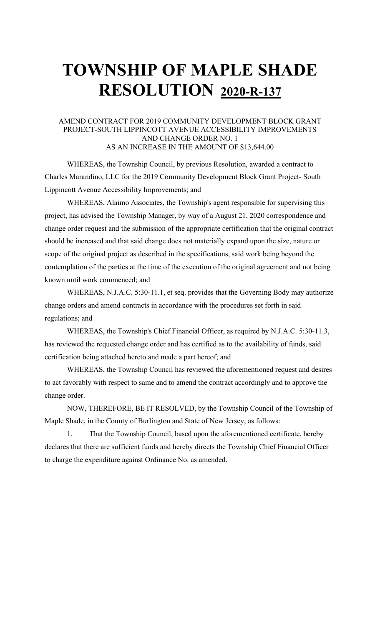#### AMEND CONTRACT FOR 2019 COMMUNITY DEVELOPMENT BLOCK GRANT PROJECT-SOUTH LIPPINCOTT AVENUE ACCESSIBILITY IMPROVEMENTS AND CHANGE ORDER NO. 1 AS AN INCREASE IN THE AMOUNT OF \$13,644.00

WHEREAS, the Township Council, by previous Resolution, awarded a contract to Charles Marandino, LLC for the 2019 Community Development Block Grant Project- South Lippincott Avenue Accessibility Improvements; and

WHEREAS, Alaimo Associates, the Township's agent responsible for supervising this project, has advised the Township Manager, by way of a August 21, 2020 correspondence and change order request and the submission of the appropriate certification that the original contract should be increased and that said change does not materially expand upon the size, nature or scope of the original project as described in the specifications, said work being beyond the contemplation of the parties at the time of the execution of the original agreement and not being known until work commenced; and

WHEREAS, N.J.A.C. 5:30-11.1, et seq. provides that the Governing Body may authorize change orders and amend contracts in accordance with the procedures set forth in said regulations; and

WHEREAS, the Township's Chief Financial Officer, as required by N.J.A.C. 5:30-11.3, has reviewed the requested change order and has certified as to the availability of funds, said certification being attached hereto and made a part hereof; and

WHEREAS, the Township Council has reviewed the aforementioned request and desires to act favorably with respect to same and to amend the contract accordingly and to approve the change order.

NOW, THEREFORE, BE IT RESOLVED, by the Township Council of the Township of Maple Shade, in the County of Burlington and State of New Jersey, as follows:

1. That the Township Council, based upon the aforementioned certificate, hereby declares that there are sufficient funds and hereby directs the Township Chief Financial Officer to charge the expenditure against Ordinance No. as amended.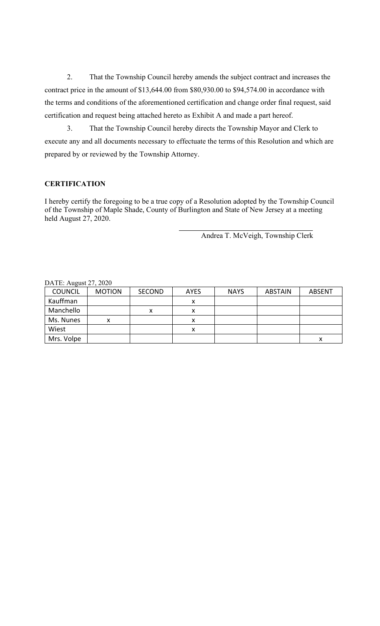2. That the Township Council hereby amends the subject contract and increases the contract price in the amount of \$13,644.00 from \$80,930.00 to \$94,574.00 in accordance with the terms and conditions of the aforementioned certification and change order final request, said certification and request being attached hereto as Exhibit A and made a part hereof.

3. That the Township Council hereby directs the Township Mayor and Clerk to execute any and all documents necessary to effectuate the terms of this Resolution and which are prepared by or reviewed by the Township Attorney.

#### **CERTIFICATION**

I hereby certify the foregoing to be a true copy of a Resolution adopted by the Township Council of the Township of Maple Shade, County of Burlington and State of New Jersey at a meeting held August 27, 2020.

Andrea T. McVeigh, Township Clerk

| DATE. August $27, 2020$ |               |               |                    |             |                |               |  |
|-------------------------|---------------|---------------|--------------------|-------------|----------------|---------------|--|
| <b>COUNCIL</b>          | <b>MOTION</b> | <b>SECOND</b> | <b>AYES</b>        | <b>NAYS</b> | <b>ABSTAIN</b> | <b>ABSENT</b> |  |
| Kauffman                |               |               |                    |             |                |               |  |
| Manchello               |               | х             | $\mathbf{\Lambda}$ |             |                |               |  |
| Ms. Nunes               | v             |               |                    |             |                |               |  |
| Wiest                   |               |               |                    |             |                |               |  |
| Mrs. Volpe              |               |               |                    |             |                |               |  |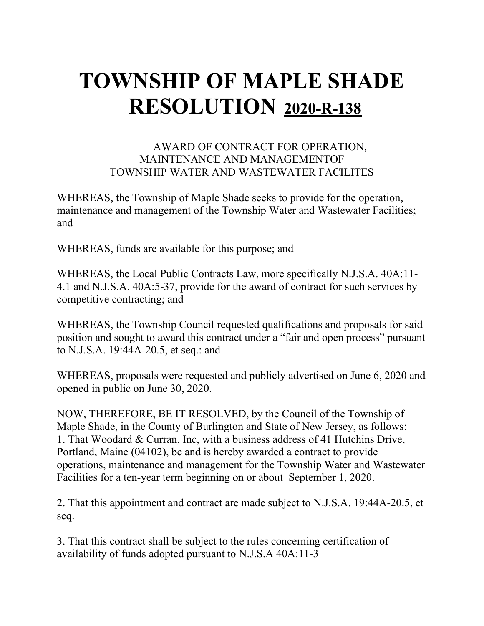### AWARD OF CONTRACT FOR OPERATION, MAINTENANCE AND MANAGEMENTOF TOWNSHIP WATER AND WASTEWATER FACILITES

WHEREAS, the Township of Maple Shade seeks to provide for the operation, maintenance and management of the Township Water and Wastewater Facilities; and

WHEREAS, funds are available for this purpose; and

WHEREAS, the Local Public Contracts Law, more specifically N.J.S.A. 40A:11- 4.1 and N.J.S.A. 40A:5-37, provide for the award of contract for such services by competitive contracting; and

WHEREAS, the Township Council requested qualifications and proposals for said position and sought to award this contract under a "fair and open process" pursuant to N.J.S.A. 19:44A-20.5, et seq.: and

WHEREAS, proposals were requested and publicly advertised on June 6, 2020 and opened in public on June 30, 2020.

NOW, THEREFORE, BE IT RESOLVED, by the Council of the Township of Maple Shade, in the County of Burlington and State of New Jersey, as follows: 1. That Woodard & Curran, Inc, with a business address of 41 Hutchins Drive, Portland, Maine (04102), be and is hereby awarded a contract to provide operations, maintenance and management for the Township Water and Wastewater Facilities for a ten-year term beginning on or about September 1, 2020.

2. That this appointment and contract are made subject to N.J.S.A. 19:44A-20.5, et seq.

3. That this contract shall be subject to the rules concerning certification of availability of funds adopted pursuant to N.J.S.A 40A:11-3